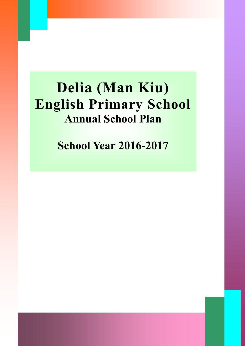# **Delia (Man Kiu) English Primary School Annual School Plan**

**School Year 2016-2017**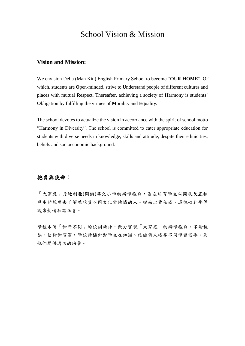## School Vision & Mission

## **Vision and Mission:**

We envision Delia (Man Kiu) English Primary School to become "**OUR HOME**". Of which, students are **O**pen-minded, strive to **U**nderstand people of different cultures and places with mutual **R**espect. Thereafter, achieving a society of **H**armony is students' **O**bligation by fulfilling the virtues of **M**orality and **E**quality.

The school devotes to actualize the vision in accordance with the spirit of school motto "Harmony in Diversity". The school is committed to cater appropriate education for students with diverse needs in knowledge, skills and attitude, despite their ethnicities, beliefs and socioeconomic background.

## 抱負與使命:

「大家庭」是地利亞(閩僑)英文小學的辦學抱負,旨在培育學生以開放及互相 尊重的態度去了解並欣賞不同文化與地域的人。從而以責任感、道德心和平等 觀來創造和諧社會。

學校本著「和而不同」的校訓精神,致力實現「大家庭」的辦學抱負。不論種 族、信仰和貧富,學校積極針對學生在知識、技能與人格等不同學習需要、為 他們提供適切的培養。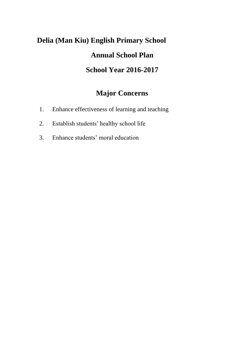## **Delia (Man Kiu) English Primary School Annual School Plan School Year 2016-2017**

## **Major Concerns**

- 1. Enhance effectiveness of learning and teaching
- 2. Establish students' healthy school life
- 3. Enhance students' moral education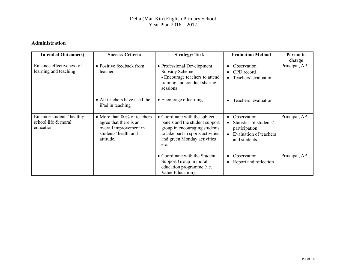## **Administration**

| <b>Intended Outcome(s)</b>                                    | <b>Success Criteria</b>                                                                                              | <b>Strategy/Task</b>                                                                                                                                                         | <b>Evaluation Method</b>                                                                                                                 | Person in     |
|---------------------------------------------------------------|----------------------------------------------------------------------------------------------------------------------|------------------------------------------------------------------------------------------------------------------------------------------------------------------------------|------------------------------------------------------------------------------------------------------------------------------------------|---------------|
|                                                               |                                                                                                                      |                                                                                                                                                                              |                                                                                                                                          | charge        |
| Enhance effectiveness of<br>learning and teaching             | • Positive feedback from<br>teachers                                                                                 | • Professional Development<br>Subsidy Scheme<br>- Encourage teachers to attend<br>training and conduct sharing<br>sessions                                                   | Observation<br>CPD record<br>$\bullet$<br>Teachers' evaluation<br>$\bullet$                                                              | Principal, AP |
|                                                               | • All teachers have used the<br>iPad in teaching                                                                     | • Encourage e-learning                                                                                                                                                       | Teachers' evaluation                                                                                                                     |               |
| Enhance students' healthy<br>school life & moral<br>education | • More than 80% of teachers<br>agree that there is an<br>overall improvement in<br>students' health and<br>attitude. | • Coordinate with the subject<br>panels and the student support<br>group in encouraging students<br>to take part in sports activities<br>and green Monday activities<br>etc. | Observation<br>$\bullet$<br>Statistics of students'<br>$\bullet$<br>participation<br>Evaluation of teachers<br>$\bullet$<br>and students | Principal, AP |
|                                                               |                                                                                                                      | • Coordinate with the Student<br>Support Group in moral<br>education programme (i.e.<br>Value Education).                                                                    | Observation<br>Report and reflection<br>$\bullet$                                                                                        | Principal, AP |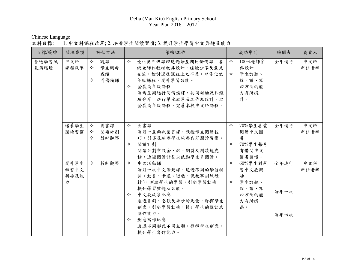Chinese Language

## 本科目標: 1. 中文科課程改革; 2. 培養學生閱讀習慣; 3. 提升學生學習中文興趣及能力

| 目標/範疇         | 關注事項                      | 評估方法                                    | 策略/工作                                                                                                                                                                                                            | 成功準則                                                                         | 時間表                  | 負責人         |
|---------------|---------------------------|-----------------------------------------|------------------------------------------------------------------------------------------------------------------------------------------------------------------------------------------------------------------|------------------------------------------------------------------------------|----------------------|-------------|
| 營造學習風<br>氣與環境 | 中文科<br>課程改革               | ✧<br>觀課<br>✧<br>學生測考<br>成績<br>同儕備課<br>✧ | $\leftrightarrow$<br>優化低年級課程透過每星期同儕備課,各<br>級老師作教材教具設計、經驗分享及意見<br>交流,檢討過往課程上之不足,以優化低<br>年級課程,提升學習效能。<br>✧<br>發展高年級課程<br>每兩星期進行同儕備課,共同討論及作經<br>驗分享,進行單元教學及工作紙設計,以<br>發展高年級課程,完善本校中文科課程。                            | 100%老師參<br>✧<br>與設計<br>學生於聽、<br>✧<br>說、讀、寫<br>四方面的能<br>力有所提<br>升。            | 全年進行                 | 中文科<br>科任老師 |
|               | 培養學生<br>閲讀習慣              | 圖書課<br>✧<br>閱讀計劃<br>✧<br>✧<br>教師觀察      | $\Leftrightarrow$<br>圖書課<br>每月一至兩次圖書課,教授學生閱讀技<br>巧,引導及培養學生培養良好閱讀習慣。<br>閱讀計劃<br>✧<br>閲讀計劃中設金、銀、銅獎及閱讀龍虎<br>榜,透過閱讀計劃以鼓勵學生多閱讀。                                                                                       | ✧<br>70%學生喜愛<br>閱讀中文圖<br>書<br>70%學生每月<br>✧<br>有借閲中文<br>圖書習慣。                 | 全年進行                 | 中文科<br>科任老師 |
|               | 提升學生<br>學習中文<br>興趣及能<br>力 | $\Leftrightarrow$<br>教師觀察               | ✧<br>中文活動課<br>每月一次中文活動課,透過不同的學習材<br>料(動畫、卡通、遊戲、説故事訓練教<br>材),刺激學生的學習,引起學習動機,<br>提升學習興趣及效能。<br>中文説故事比賽<br>✧<br>透過畫劇、唱歌及舞步的元素,發揮學生<br>創意,引起學習動機,提升學生的説話及<br>協作能力。<br>創意寫作比賽<br>✧<br>透過不同形式不同主題,發揮學生創意,<br>提升學生寫作能力。 | ✧<br>$60\%$ 學生對學<br>習中文感興<br>趣<br>學生於聽、<br>✧<br>說、讀、寫<br>四方面的能<br>力有所提<br>高。 | 全年進行<br>每年一次<br>每年四次 | 中文科<br>科任老師 |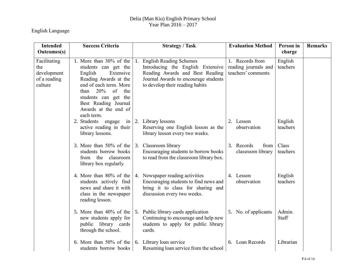## English Language

| <b>Intended</b><br><b>Outcomes(s)</b>                         | <b>Success Criteria</b>                                                                                                                                                                                                                      | <b>Strategy / Task</b>                                                                                                                                                        | <b>Evaluation Method</b>                                      | Person in<br>charge | <b>Remarks</b> |
|---------------------------------------------------------------|----------------------------------------------------------------------------------------------------------------------------------------------------------------------------------------------------------------------------------------------|-------------------------------------------------------------------------------------------------------------------------------------------------------------------------------|---------------------------------------------------------------|---------------------|----------------|
|                                                               |                                                                                                                                                                                                                                              |                                                                                                                                                                               |                                                               |                     |                |
| Facilitating<br>the<br>development<br>of a reading<br>culture | 1. More than 30% of the<br>students can get the<br>English<br>Extensive<br>Reading Awards at the<br>end of each term. More<br>20%<br>of<br>the<br>than<br>students can get the<br>Best Reading Journal<br>Awards at the end of<br>each term. | 1. English Reading Schemes<br>Introducing the English Extensive<br>Reading Awards and Best Reading<br>Journal Awards to encourage students<br>to develop their reading habits | 1. Records from<br>reading journals and<br>teachers' comments | English<br>teachers |                |
|                                                               | 2. Students<br>engage<br>in<br>active reading in their<br>library lessons.                                                                                                                                                                   | 2. Library lessons<br>Reserving one English lesson as the<br>library lesson every two weeks.                                                                                  | 2. Lesson<br>observation                                      | English<br>teachers |                |
|                                                               | 3. More than $50\%$ of the<br>students borrow books<br>from the classroom<br>library box regularly.                                                                                                                                          | 3. Classroom library<br>Encouraging students to borrow books<br>to read from the classroom library box.                                                                       | 3. Records<br>from<br>classroom library                       | Class<br>teachers   |                |
|                                                               | 4. More than 80% of the<br>students actively find<br>news and share it with<br>class in the newspaper<br>reading lesson.                                                                                                                     | 4. Newspaper reading activities<br>Encouraging students to find news and<br>bring it to class for sharing and<br>discussion every two weeks.                                  | 4. Lesson<br>observation                                      | English<br>teachers |                |
|                                                               | 5. More than 40% of the<br>new students apply for<br>public library cards<br>through the school.                                                                                                                                             | 5. Public library cards application<br>Continuing to encourage and help new<br>students to apply for public library<br>cards.                                                 | 5. No. of applicants                                          | Admin.<br>Staff     |                |
|                                                               | 6. More than 50% of the<br>students borrow books                                                                                                                                                                                             | 6. Library loan service<br>Resuming loan service from the school                                                                                                              | 6. Loan Records                                               | Librarian           |                |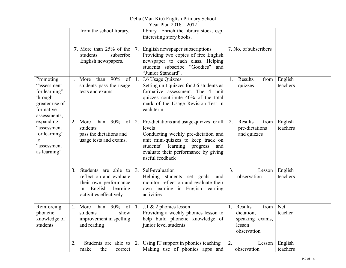|                                                                                                     |    |                                                                                                                               | Delia (Man Kiu) English Primary School<br>Year Plan $2016 - 2017$                                                                                                                                                                      |    |                                                                              |                     |  |
|-----------------------------------------------------------------------------------------------------|----|-------------------------------------------------------------------------------------------------------------------------------|----------------------------------------------------------------------------------------------------------------------------------------------------------------------------------------------------------------------------------------|----|------------------------------------------------------------------------------|---------------------|--|
|                                                                                                     |    | from the school library.                                                                                                      | library. Enrich the library stock, esp.<br>interesting story books.                                                                                                                                                                    |    |                                                                              |                     |  |
|                                                                                                     |    | <b>7.</b> More than 25% of the<br>students<br>subscribe<br>English newspapers.                                                | 7. English newspaper subscriptions<br>Providing two copies of free English<br>newspaper to each class. Helping<br>students subscribe "Goodies" and<br>"Junior Standard".                                                               |    | 7. No. of subscribers                                                        |                     |  |
| Promoting<br>"assessment<br>for learning"<br>through<br>greater use of<br>formative<br>assessments, | 1. | 90%<br>More than<br>of<br>students pass the usage<br>tests and exams                                                          | 1. J.6 Usage Quizzes<br>Setting unit quizzes for J.6 students as<br>formative assessment. The 4 unit<br>quizzes contribute 40% of the total<br>mark of the Usage Revision Test in<br>each term.                                        | 1. | from<br>Results<br>quizzes                                                   | English<br>teachers |  |
| expanding<br>"assessment<br>for learning"<br>to<br>"assessment<br>as learning"                      | 2. | More than $90\%$<br>$of \mid$<br>students<br>pass the dictations and<br>usage tests and exams.                                | 2. Pre-dictations and usage quizzes for all<br>levels<br>Conducting weekly pre-dictation and<br>unit mini-quizzes to keep track on<br>learning progress<br>students'<br>and<br>evaluate their performance by giving<br>useful feedback | 2. | Results<br>from<br>pre-dictations<br>and quizzes                             | English<br>teachers |  |
|                                                                                                     | 3. | Students are able to<br>reflect on and evaluate<br>their own performance<br>English learning<br>1n<br>activities effectively. | 3. Self-evaluation<br>Helping students set goals, and<br>monitor, reflect on and evaluate their<br>own learning in English learning<br>activities                                                                                      | 3. | Lesson<br>observation                                                        | English<br>teachers |  |
| Reinforcing<br>phonetic<br>knowledge of<br>students                                                 |    | 1. More than $90\%$ of   1. J.1 & 2 phonics lesson<br>students<br>show<br>improvement in spelling<br>and reading              | Providing a weekly phonics lesson to<br>help build phonetic knowledge of<br>junior level students                                                                                                                                      |    | 1. Results<br>from<br>dictation,<br>speaking exams,<br>lesson<br>observation | Net<br>teacher      |  |
|                                                                                                     | 2. | the<br>make<br>correct                                                                                                        | Students are able to $\vert$ 2. Using IT support in phonics teaching<br>Making use of phonics apps and                                                                                                                                 | 2. | Lesson<br>observation                                                        | English<br>teachers |  |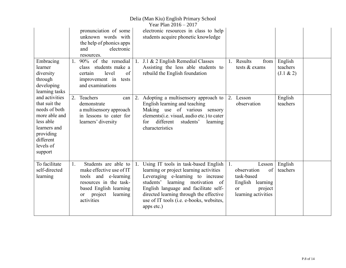## Delia (Man Kiu) English Primary School

|                                                                                                                                                  |    |                                                                                                                                                                                    |    | Year Plan 2016 - 2017                                                                                                                                                                                                                                                                                  |    |                                                                                                       |                                     |  |
|--------------------------------------------------------------------------------------------------------------------------------------------------|----|------------------------------------------------------------------------------------------------------------------------------------------------------------------------------------|----|--------------------------------------------------------------------------------------------------------------------------------------------------------------------------------------------------------------------------------------------------------------------------------------------------------|----|-------------------------------------------------------------------------------------------------------|-------------------------------------|--|
|                                                                                                                                                  |    | pronunciation of some<br>unknown words with<br>the help of phonics apps<br>electronic<br>and<br>resources.                                                                         |    | electronic resources in class to help<br>students acquire phonetic knowledge                                                                                                                                                                                                                           |    |                                                                                                       |                                     |  |
| Embracing<br>learner<br>diversity<br>through<br>developing<br>learning tasks                                                                     | 1. | 90% of the remedial<br>class students make a<br>level<br>of<br>certain<br>improvement in<br>tests<br>and examinations                                                              |    | 1. J.1 & 2 English Remedial Classes<br>Assisting the less able students to<br>rebuild the English foundation                                                                                                                                                                                           | 1. | Results<br>from<br>tests & exams                                                                      | English<br>teachers<br>$(J.1 \& 2)$ |  |
| and activities<br>that suit the<br>needs of both<br>more able and<br>less able<br>learners and<br>providing<br>different<br>levels of<br>support | 2. | Teachers<br>can<br>demonstrate<br>a multisensory approach<br>in lessons to cater for<br>learners' diversity                                                                        | 2. | Adopting a multisensory approach to<br>English learning and teaching<br>Making use of various sensory<br>elements(i.e. visual, audio etc.) to cater<br>different<br>students'<br>learning<br>for<br>characteristics                                                                                    | 2. | Lesson<br>observation                                                                                 | English<br>teachers                 |  |
| To facilitate<br>self-directed<br>learning                                                                                                       | 1. | Students are able to<br>make effective use of IT<br>tools and e-learning<br>resources in the task-<br>based English learning<br>project<br>learning<br><sub>or</sub><br>activities | 1. | Using IT tools in task-based English<br>learning or project learning activities<br>Leveraging e-learning to increase<br>students' learning motivation of<br>English language and facilitate self-<br>directed learning through the effective<br>use of IT tools (i.e. e-books, websites,<br>apps etc.) | 1. | Lesson<br>of<br>observation<br>task-based<br>English learning<br>project<br>or<br>learning activities | English<br>teachers                 |  |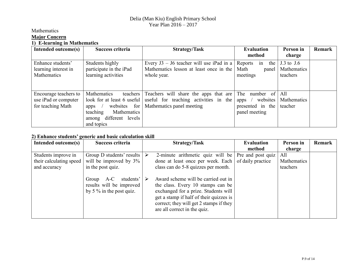## Mathematics **Major Concern 1) E-learning in Mathematics**

| <b>E</b> four ming in <i>Frequencies</i><br>Intended outcome(s) | Success criteria           | <b>Strategy/Task</b>                     | <b>Evaluation</b>    | Person in      | Remark |
|-----------------------------------------------------------------|----------------------------|------------------------------------------|----------------------|----------------|--------|
|                                                                 |                            |                                          | method               | charge         |        |
| Enhance students'                                               | Students highly            | Every J3 – J6 teacher will use iPad in a | the<br>Reports<br>in | $J.3$ to $J.6$ |        |
| learning interest in                                            | participate in the iPad    | Mathematics lesson at least once in the  | Math<br>panel        | Mathematics    |        |
| Mathematics                                                     | learning activities        | whole year.                              | meetings             | teachers       |        |
|                                                                 |                            |                                          |                      |                |        |
|                                                                 |                            |                                          |                      |                |        |
| Encourage teachers to                                           | Mathematics<br>teachers    | Teachers will share the apps that are    | The number of        | All            |        |
| use iPad or computer                                            | look for at least 6 useful | useful for teaching activities in the    | websites<br>apps     | Mathematics    |        |
| for teaching Math                                               | websites for<br>apps       | Mathematics panel meeting                | presented in the     | teacher        |        |
|                                                                 | teaching<br>Mathematics    |                                          | panel meeting        |                |        |
|                                                                 | among different levels     |                                          |                      |                |        |
|                                                                 | and topics                 |                                          |                      |                |        |

## **2) Enhance students' generic and basic calculation skill**

| Intended outcome(s)                                            | Success criteria                                                                       | <b>Strategy/Task</b>                                                                                                                                                                                                                   | <b>Evaluation</b>                      | Person in                      | Remark |
|----------------------------------------------------------------|----------------------------------------------------------------------------------------|----------------------------------------------------------------------------------------------------------------------------------------------------------------------------------------------------------------------------------------|----------------------------------------|--------------------------------|--------|
|                                                                |                                                                                        |                                                                                                                                                                                                                                        | method                                 | charge                         |        |
| Students improve in<br>their calculating speed<br>and accuracy | Group D students' results<br>will be improved by $3\%$<br>in the post quiz.            | 2-minute arithmetic quiz will be<br>done at least once per week. Each<br>class can do 5-8 quizzes per month.                                                                                                                           | Pre and post quiz<br>of daily practice | All<br>Mathematics<br>teachers |        |
|                                                                | $A-C$<br>students'<br>Group<br>results will be improved<br>by 5 $\%$ in the post quiz. | Award scheme will be carried out in<br>the class. Every 10 stamps can be<br>exchanged for a prize. Students will<br>get a stamp if half of their quizzes is<br>correct; they will get 2 stamps if they<br>are all correct in the quiz. |                                        |                                |        |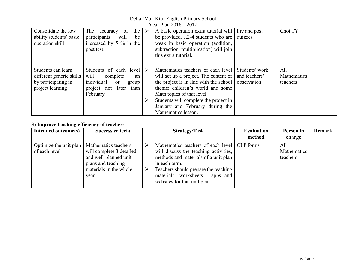Delia (Man Kiu) English Primary School Year Plan 2016 – 2017

|                                                                                           | I CAI I IAII ZVIV<br>$\sim$ $\sim$                                                                                                |                       |                                                                                                                                                                                                                                                                                                |                                                |                                |  |  |
|-------------------------------------------------------------------------------------------|-----------------------------------------------------------------------------------------------------------------------------------|-----------------------|------------------------------------------------------------------------------------------------------------------------------------------------------------------------------------------------------------------------------------------------------------------------------------------------|------------------------------------------------|--------------------------------|--|--|
| Consolidate the low<br>ability students' basic<br>operation skill                         | The accuracy<br>of<br>the<br>participants<br>will<br>be<br>increased by $5\%$ in the<br>post test.                                | $\blacktriangleright$ | A basic operation extra tutorial will   Pre and post<br>be provided. J.2-4 students who are $\vert$<br>weak in basic operation (addition,<br>subtraction, multiplication) will join<br>this extra tutorial.                                                                                    | quizzes                                        | Choi TY                        |  |  |
| Students can learn<br>different generic skills<br>by participating in<br>project learning | Students of each level<br>complete<br>will<br>an<br>individual<br><sub>or</sub><br>group<br>project not later<br>than<br>February | $\blacktriangleright$ | Mathematics teachers of each level<br>will set up a project. The content of  <br>the project is in line with the school  <br>theme: children's world and some<br>Math topics of that level.<br>Students will complete the project in<br>January and February during the<br>Mathematics lesson. | Students' work<br>and teachers'<br>observation | All<br>Mathematics<br>teachers |  |  |

## **3) Improve teaching efficiency of teachers**

| Intended outcome(s)                     | Success criteria                                                                                                                   | <b>Strategy/Task</b>                                                                                                                                                                                                                                             | <b>Evaluation</b><br>method | Person in<br>charge            | Remark |
|-----------------------------------------|------------------------------------------------------------------------------------------------------------------------------------|------------------------------------------------------------------------------------------------------------------------------------------------------------------------------------------------------------------------------------------------------------------|-----------------------------|--------------------------------|--------|
| Optimize the unit plan<br>of each level | Mathematics teachers<br>will complete 3 detailed<br>and well-planned unit<br>plans and teaching<br>materials in the whole<br>year. | Mathematics teachers of each level   CLP forms<br>will discuss the teaching activities,<br>methods and materials of a unit plan<br>in each term.<br>Teachers should prepare the teaching<br>➤<br>materials, worksheets, apps and<br>websites for that unit plan. |                             | All<br>Mathematics<br>teachers |        |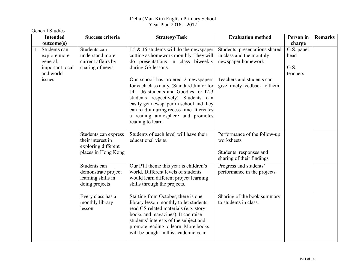| <b>General Studies</b>                                                         |                                                                                         |                                                                                                                                                                                                                                                                                                                      |                                                                                                    |                                        |                |
|--------------------------------------------------------------------------------|-----------------------------------------------------------------------------------------|----------------------------------------------------------------------------------------------------------------------------------------------------------------------------------------------------------------------------------------------------------------------------------------------------------------------|----------------------------------------------------------------------------------------------------|----------------------------------------|----------------|
| <b>Intended</b><br>outcome(s)                                                  | Success criteria                                                                        | <b>Strategy/Task</b>                                                                                                                                                                                                                                                                                                 | <b>Evaluation method</b>                                                                           | Person in<br>charge                    | <b>Remarks</b> |
| 1.<br>Students can<br>explore more<br>general,<br>important local<br>and world | Students can<br>understand more<br>current affairs by<br>sharing of news                | J.5 & J6 students will do the newspaper<br>cutting as homework monthly. They will<br>do presentations in class biweekly<br>during GS lessons.                                                                                                                                                                        | Students' presentations shared<br>in class and the monthly<br>newspaper homework                   | G.S. panel<br>head<br>G.S.<br>teachers |                |
| issues.                                                                        |                                                                                         | Our school has ordered 2 newspapers<br>for each class daily. (Standard Junior for<br>J4 – J6 students and Goodies for J2-3<br>students respectively) Students can<br>easily get newspaper in school and they<br>can read it during recess time. It creates<br>a reading atmosphere and promotes<br>reading to learn. | Teachers and students can<br>give timely feedback to them.                                         |                                        |                |
|                                                                                | Students can express<br>their interest in<br>exploring different<br>places in Hong Kong | Students of each level will have their<br>educational visits.                                                                                                                                                                                                                                                        | Performance of the follow-up<br>worksheets<br>Students' responses and<br>sharing of their findings |                                        |                |
|                                                                                | Students can<br>demonstrate project<br>learning skills in<br>doing projects             | Our PTI theme this year is children's<br>world. Different levels of students<br>would learn different project learning<br>skills through the projects.                                                                                                                                                               | Progress and students'<br>performance in the projects                                              |                                        |                |
|                                                                                | Every class has a<br>monthly library<br>lesson                                          | Starting from October, there is one<br>library lesson monthly to let students<br>read GS related materials (e.g. story<br>books and magazines). It can raise<br>students' interests of the subject and<br>promote reading to learn. More books<br>will be bought in this academic year.                              | Sharing of the book summary<br>to students in class.                                               |                                        |                |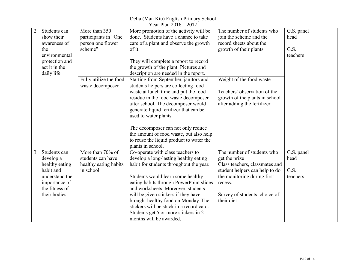Delia (Man Kiu) English Primary School Year Plan 2016 – 2017

|    | Students can   | More than 350          | More promotion of the activity will be   | The number of students who     | G.S. panel |  |
|----|----------------|------------------------|------------------------------------------|--------------------------------|------------|--|
|    | show their     | participants in "One   | done. Students have a chance to take     | join the scheme and the        | head       |  |
|    | awareness of   | person one flower      | care of a plant and observe the growth   | record sheets about the        |            |  |
|    | the            | scheme"                | of it.                                   | growth of their plants         | G.S.       |  |
|    | environmental  |                        |                                          |                                | teachers   |  |
|    | protection and |                        | They will complete a report to record    |                                |            |  |
|    | act it in the  |                        | the growth of the plant. Pictures and    |                                |            |  |
|    | daily life.    |                        | description are needed in the report.    |                                |            |  |
|    |                | Fully utilize the food | Starting from September, janitors and    | Weight of the food waste       |            |  |
|    |                | waste decomposer       | students helpers are collecting food     |                                |            |  |
|    |                |                        | waste at lunch time and put the food     | Teachers' observation of the   |            |  |
|    |                |                        |                                          |                                |            |  |
|    |                |                        | residue in the food waste decomposer     | growth of the plants in school |            |  |
|    |                |                        | after school. The decomposer would       | after adding the fertilizer    |            |  |
|    |                |                        | generate liquid fertilizer that can be   |                                |            |  |
|    |                |                        | used to water plants.                    |                                |            |  |
|    |                |                        |                                          |                                |            |  |
|    |                |                        | The decomposer can not only reduce       |                                |            |  |
|    |                |                        | the amount of food waste, but also help  |                                |            |  |
|    |                |                        | to reuse the liquid product to water the |                                |            |  |
|    |                |                        | plants in school.                        |                                |            |  |
| 3. | Students can   | More than 70% of       | Co-operate with class teachers to        | The number of students who     | G.S. panel |  |
|    | develop a      | students can have      | develop a long-lasting healthy eating    | get the prize                  | head       |  |
|    | healthy eating | healthy eating habits  | habit for students throughout the year.  | Class teachers, classmates and |            |  |
|    | habit and      | in school.             |                                          | student helpers can help to do | G.S.       |  |
|    | understand the |                        | Students would learn some healthy        | the monitoring during first    | teachers   |  |
|    | importance of  |                        | eating habits through PowerPoint slides  | recess.                        |            |  |
|    | the fitness of |                        | and worksheets. Moreover, students       |                                |            |  |
|    | their bodies.  |                        | will be given stickers if they have      | Survey of students' choice of  |            |  |
|    |                |                        | brought healthy food on Monday. The      | their diet                     |            |  |
|    |                |                        | stickers will be stuck in a record card. |                                |            |  |
|    |                |                        |                                          |                                |            |  |
|    |                |                        | Students get 5 or more stickers in 2     |                                |            |  |
|    |                |                        | months will be awarded.                  |                                |            |  |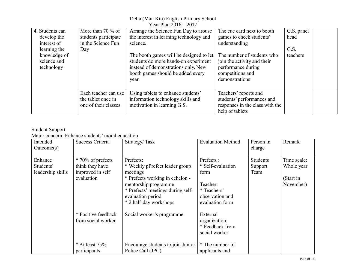Delia (Man Kiu) English Primary School

| Year Plan $2016 - 2017$ |                      |                                         |                                 |            |  |  |  |  |
|-------------------------|----------------------|-----------------------------------------|---------------------------------|------------|--|--|--|--|
| 4. Students can         | More than 70 $\%$ of | Arrange the Science Fun Day to arouse   | The cue card next to booth      | G.S. panel |  |  |  |  |
| develop the             | students participate | the interest in learning technology and | games to check students'        | head       |  |  |  |  |
| interest of             | in the Science Fun   | science.                                | understanding                   |            |  |  |  |  |
| learning the            | Day                  |                                         |                                 | G.S.       |  |  |  |  |
| knowledge of            |                      | The booth games will be designed to let | The number of students who      | teachers   |  |  |  |  |
| science and             |                      | students do more hands-on experiment    | join the activity and their     |            |  |  |  |  |
| technology              |                      | instead of demonstrations only. New     | performance during              |            |  |  |  |  |
|                         |                      | booth games should be added every       | competitions and                |            |  |  |  |  |
|                         |                      | year.                                   | demonstrations                  |            |  |  |  |  |
|                         |                      |                                         |                                 |            |  |  |  |  |
|                         | Each teacher can use | Using tablets to enhance students'      | Teachers' reports and           |            |  |  |  |  |
|                         | the tablet once in   | information technology skills and       | students' performances and      |            |  |  |  |  |
|                         | one of their classes | motivation in learning G.S.             | responses in the class with the |            |  |  |  |  |
|                         |                      |                                         | help of tablets                 |            |  |  |  |  |

#### Student Support

Major concern: Enhance students' moral education

| Success Criteria                                                       | Strategy/Task                                                                                                                                                                                          | <b>Evaluation Method</b>                                                                                | Person in<br>charge                | Remark                                              |
|------------------------------------------------------------------------|--------------------------------------------------------------------------------------------------------------------------------------------------------------------------------------------------------|---------------------------------------------------------------------------------------------------------|------------------------------------|-----------------------------------------------------|
| * 70% of prefects<br>think they have<br>improved in self<br>evaluation | Prefects:<br>* Weekly pPrefect leader group<br>meetings<br>* Prefects working in echelon -<br>mentorship programme<br>* Prefects' meetings during self-<br>evaluation period<br>* 2 half-day workshops | Prefects:<br>* Self-evaluation<br>form<br>Teacher:<br>* Teachers'<br>observation and<br>evaluation form | <b>Students</b><br>Support<br>Team | Time scale:<br>Whole year<br>(Start in<br>November) |
| * Positive feedback<br>from social worker<br>$*$ At least 75%          | Social worker's programme<br>Encourage students to join Junior                                                                                                                                         | External<br>organization:<br>* Feedback from<br>social worker<br>* The number of                        |                                    |                                                     |
|                                                                        | participants                                                                                                                                                                                           | Police Call (JPC)                                                                                       | applicants and                     |                                                     |